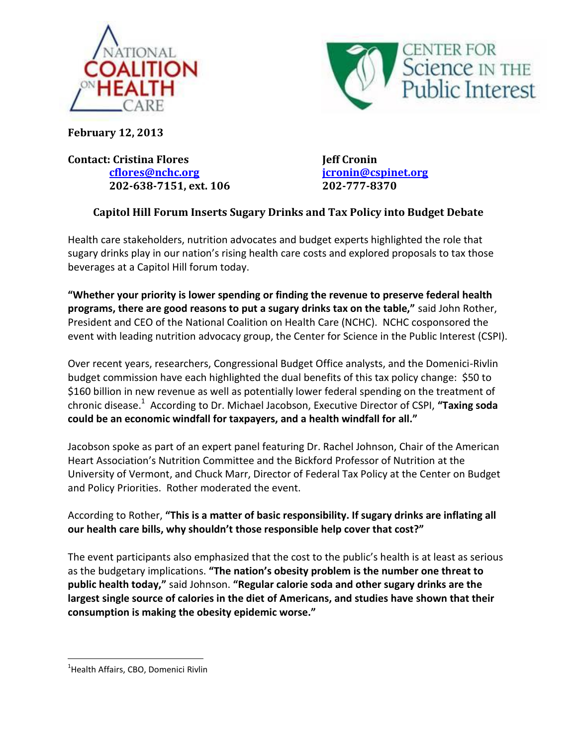



**February 12, 2013** 

**Contact: Cristina Flores Jeff Cronin [cflores@nchc.org](mailto:cflores@nchc.org) [jcronin@cspinet.org](mailto:jcronin@cspinet.org) 202-638-7151, ext. 106 202-777-8370**

## **Capitol Hill Forum Inserts Sugary Drinks and Tax Policy into Budget Debate**

Health care stakeholders, nutrition advocates and budget experts highlighted the role that sugary drinks play in our nation's rising health care costs and explored proposals to tax those beverages at a Capitol Hill forum today.

**"Whether your priority is lower spending or finding the revenue to preserve federal health programs, there are good reasons to put a sugary drinks tax on the table,"** said John Rother, President and CEO of the National Coalition on Health Care (NCHC). NCHC cosponsored the event with leading nutrition advocacy group, the Center for Science in the Public Interest (CSPI).

Over recent years, researchers, Congressional Budget Office analysts, and the Domenici-Rivlin budget commission have each highlighted the dual benefits of this tax policy change: \$50 to \$160 billion in new revenue as well as potentially lower federal spending on the treatment of chronic disease.<sup>1</sup> According to Dr. Michael Jacobson, Executive Director of CSPI, **"Taxing soda could be an economic windfall for taxpayers, and a health windfall for all."**

Jacobson spoke as part of an expert panel featuring Dr. Rachel Johnson, Chair of the American Heart Association's Nutrition Committee and the Bickford Professor of Nutrition at the University of Vermont, and Chuck Marr, Director of Federal Tax Policy at the Center on Budget and Policy Priorities. Rother moderated the event.

According to Rother, **"This is a matter of basic responsibility. If sugary drinks are inflating all our health care bills, why shouldn't those responsible help cover that cost?"**

The event participants also emphasized that the cost to the public's health is at least as serious as the budgetary implications. **"The nation's obesity problem is the number one threat to public health today,"** said Johnson. **"Regular calorie soda and other sugary drinks are the largest single source of calories in the diet of Americans, and studies have shown that their consumption is making the obesity epidemic worse."**

 $\overline{\phantom{a}}$ 

<sup>&</sup>lt;sup>1</sup>Health Affairs, CBO, Domenici Rivlin